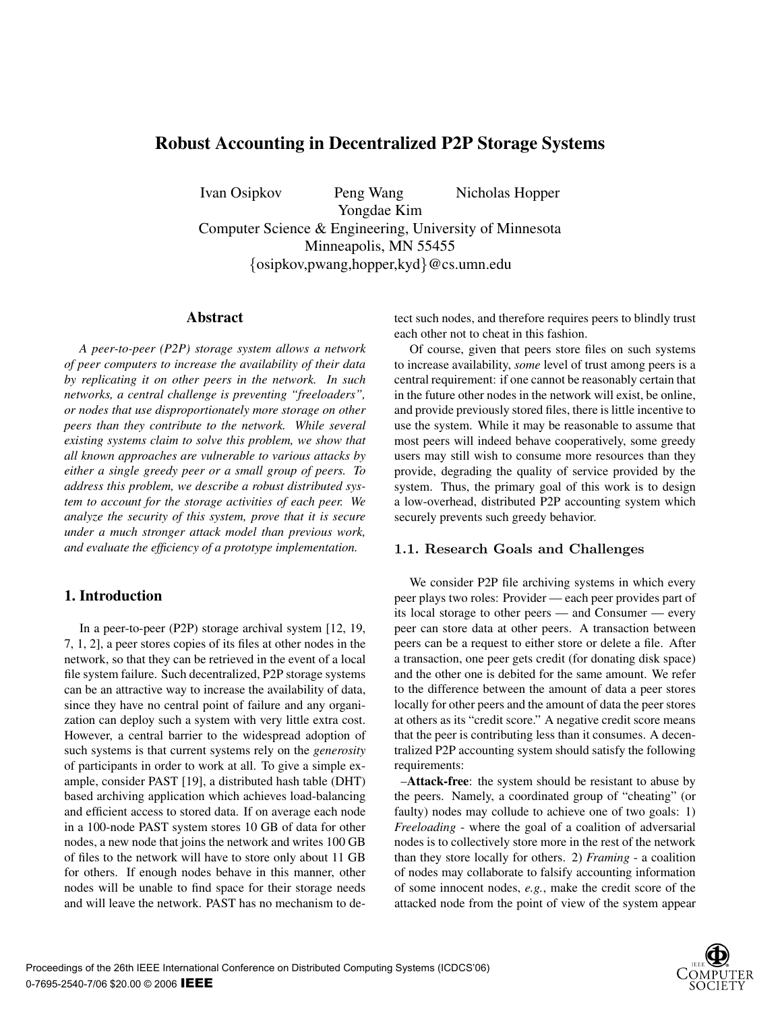# Robust Accounting in Decentralized P2P Storage Systems

Ivan Osipkov Peng Wang Nicholas Hopper Yongdae Kim Computer Science & Engineering, University of Minnesota Minneapolis, MN 55455 {osipkov,pwang,hopper,kyd}@cs.umn.edu

# Abstract

A peer-to-peer (P2P) storage system allows a network of peer computers to increase the availability of their data by replicating it on other peers in the network. In such networks, a central challenge is preventing "freeloaders", or nodes that use disproportionately more storage on other peers than they contribute to the network. While several existing systems claim to solve this problem, we show that all known approaches are vulnerable to various attacks by either a single greedy peer or a small group of peers. To address this problem, we describe a robust distributed system to account for the storage activities of each peer. We analyze the security of this system, prove that it is secure under a much stronger attack model than previous work, and evaluate the efficiency of a prototype implementation.

# 1. Introduction

In a peer-to-peer (P2P) storage archival system [12, 19, 7, 1, 2], a peer stores copies of its files at other nodes in the network, so that they can be retrieved in the event of a local file system failure. Such decentralized, P2P storage systems can be an attractive way to increase the availability of data, since they have no central point of failure and any organization can deploy such a system with very little extra cost. However, a central barrier to the widespread adoption of such systems is that current systems rely on the *generosity* of participants in order to work at all. To give a simple example, consider PAST [19], a distributed hash table (DHT) based archiving application which achieves load-balancing and efficient access to stored data. If on average each node in a 100-node PAST system stores 10 GB of data for other nodes, a new node that joins the network and writes 100 GB of files to the network will have to store only about 11 GB for others. If enough nodes behave in this manner, other nodes will be unable to find space for their storage needs and will leave the network. PAST has no mechanism to detect such nodes, and therefore requires peers to blindly trust each other not to cheat in this fashion.

Of course, given that peers store files on such systems to increase availability, some level of trust among peers is a central requirement: if one cannot be reasonably certain that in the future other nodes in the network will exist, be online, and provide previously stored files, there is little incentive to use the system. While it may be reasonable to assume that most peers will indeed behave cooperatively, some greedy users may still wish to consume more resources than they provide, degrading the quality of service provided by the system. Thus, the primary goal of this work is to design a low-overhead, distributed P2P accounting system which securely prevents such greedy behavior.

# **1.1. Research Goals and Challenges**

We consider P2P file archiving systems in which every peer plays two roles: Provider — each peer provides part of its local storage to other peers — and Consumer — every peer can store data at other peers. A transaction between peers can be a request to either store or delete a file. After a transaction, one peer gets credit (for donating disk space) and the other one is debited for the same amount. We refer to the difference between the amount of data a peer stores locally for other peers and the amount of data the peer stores at others as its "credit score." A negative credit score means that the peer is contributing less than it consumes. A decentralized P2P accounting system should satisfy the following requirements:

–**Attack-free**: the system should be resistant to abuse by the peers. Namely, a coordinated group of "cheating" (or faulty) nodes may collude to achieve one of two goals: 1) Freeloading - where the goal of a coalition of adversarial nodes is to collectively store more in the rest of the network than they store locally for others. 2) Framing - a coalition of nodes may collaborate to falsify accounting information of some innocent nodes, e.g., make the credit score of the attacked node from the point of view of the system appear

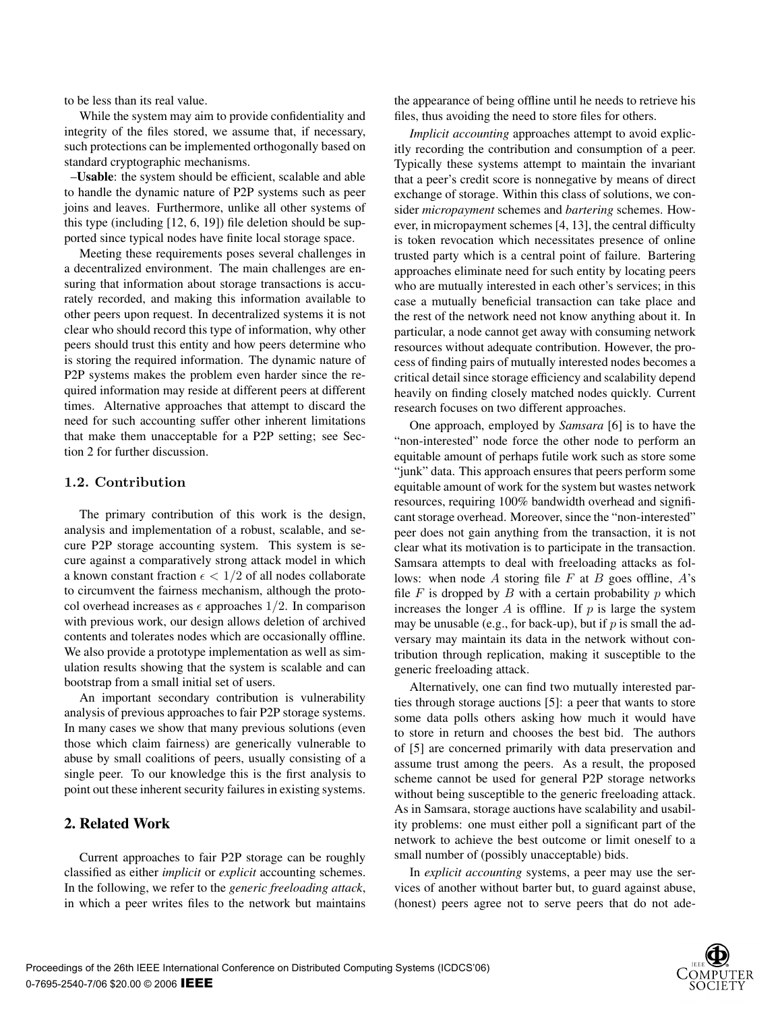to be less than its real value.

While the system may aim to provide confidentiality and integrity of the files stored, we assume that, if necessary, such protections can be implemented orthogonally based on standard cryptographic mechanisms.

–Usable: the system should be efficient, scalable and able to handle the dynamic nature of P2P systems such as peer joins and leaves. Furthermore, unlike all other systems of this type (including [12, 6, 19]) file deletion should be supported since typical nodes have finite local storage space.

Meeting these requirements poses several challenges in a decentralized environment. The main challenges are ensuring that information about storage transactions is accurately recorded, and making this information available to other peers upon request. In decentralized systems it is not clear who should record this type of information, why other peers should trust this entity and how peers determine who is storing the required information. The dynamic nature of P2P systems makes the problem even harder since the required information may reside at different peers at different times. Alternative approaches that attempt to discard the need for such accounting suffer other inherent limitations that make them unacceptable for a P2P setting; see Section 2 for further discussion.

## **1.2. Contribution**

The primary contribution of this work is the design, analysis and implementation of a robust, scalable, and secure P2P storage accounting system. This system is secure against a comparatively strong attack model in which a known constant fraction  $\epsilon < 1/2$  of all nodes collaborate to circumvent the fairness mechanism, although the protocol overhead increases as  $\epsilon$  approaches 1/2. In comparison with previous work, our design allows deletion of archived contents and tolerates nodes which are occasionally offline. We also provide a prototype implementation as well as simulation results showing that the system is scalable and can bootstrap from a small initial set of users.

An important secondary contribution is vulnerability analysis of previous approaches to fair P2P storage systems. In many cases we show that many previous solutions (even those which claim fairness) are generically vulnerable to abuse by small coalitions of peers, usually consisting of a single peer. To our knowledge this is the first analysis to point out these inherent security failures in existing systems.

# 2. Related Work

Current approaches to fair P2P storage can be roughly classified as either implicit or explicit accounting schemes. In the following, we refer to the generic freeloading attack, in which a peer writes files to the network but maintains

the appearance of being offline until he needs to retrieve his files, thus avoiding the need to store files for others.

Implicit accounting approaches attempt to avoid explicitly recording the contribution and consumption of a peer. Typically these systems attempt to maintain the invariant that a peer's credit score is nonnegative by means of direct exchange of storage. Within this class of solutions, we consider micropayment schemes and bartering schemes. However, in micropayment schemes [4, 13], the central difficulty is token revocation which necessitates presence of online trusted party which is a central point of failure. Bartering approaches eliminate need for such entity by locating peers who are mutually interested in each other's services; in this case a mutually beneficial transaction can take place and the rest of the network need not know anything about it. In particular, a node cannot get away with consuming network resources without adequate contribution. However, the process of finding pairs of mutually interested nodes becomes a critical detail since storage efficiency and scalability depend heavily on finding closely matched nodes quickly. Current research focuses on two different approaches.

One approach, employed by Samsara [6] is to have the "non-interested" node force the other node to perform an equitable amount of perhaps futile work such as store some "junk" data. This approach ensures that peers perform some equitable amount of work for the system but wastes network resources, requiring 100% bandwidth overhead and significant storage overhead. Moreover, since the "non-interested" peer does not gain anything from the transaction, it is not clear what its motivation is to participate in the transaction. Samsara attempts to deal with freeloading attacks as follows: when node A storing file  $F$  at B goes offline,  $A$ 's file  $F$  is dropped by  $B$  with a certain probability  $p$  which increases the longer  $A$  is offline. If  $p$  is large the system may be unusable (e.g., for back-up), but if  $p$  is small the adversary may maintain its data in the network without contribution through replication, making it susceptible to the generic freeloading attack.

Alternatively, one can find two mutually interested parties through storage auctions [5]: a peer that wants to store some data polls others asking how much it would have to store in return and chooses the best bid. The authors of [5] are concerned primarily with data preservation and assume trust among the peers. As a result, the proposed scheme cannot be used for general P2P storage networks without being susceptible to the generic freeloading attack. As in Samsara, storage auctions have scalability and usability problems: one must either poll a significant part of the network to achieve the best outcome or limit oneself to a small number of (possibly unacceptable) bids.

In explicit accounting systems, a peer may use the services of another without barter but, to guard against abuse, (honest) peers agree not to serve peers that do not ade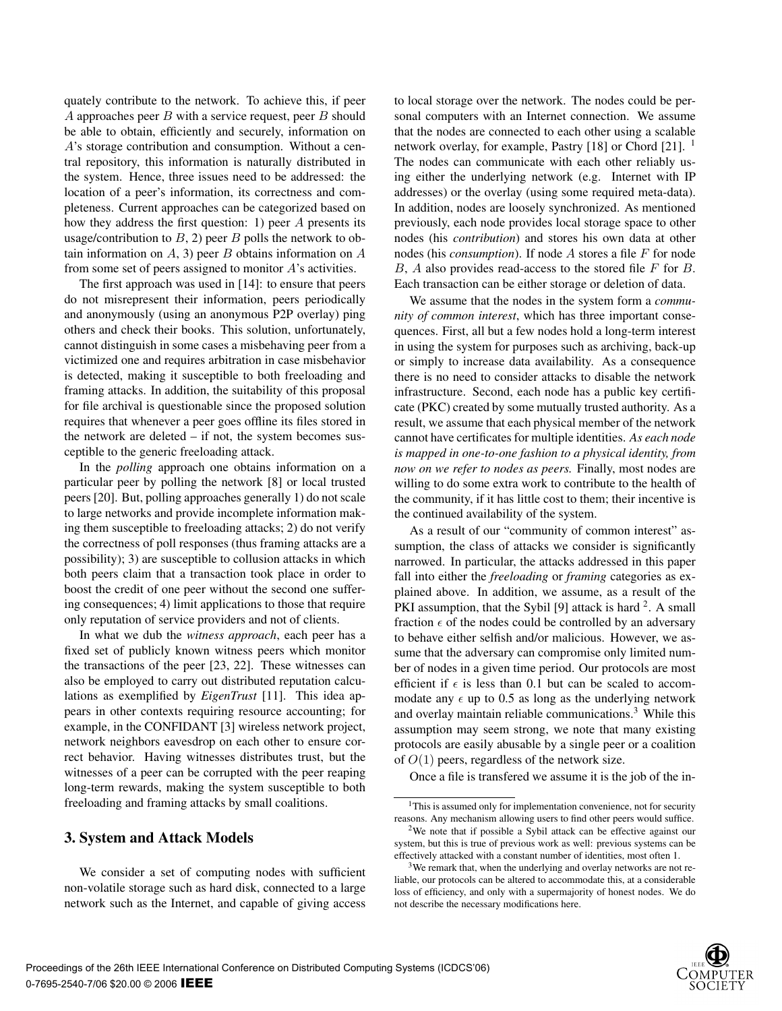quately contribute to the network. To achieve this, if peer A approaches peer B with a service request, peer B should be able to obtain, efficiently and securely, information on A's storage contribution and consumption. Without a central repository, this information is naturally distributed in the system. Hence, three issues need to be addressed: the location of a peer's information, its correctness and completeness. Current approaches can be categorized based on how they address the first question: 1) peer A presents its usage/contribution to  $B$ , 2) peer  $B$  polls the network to obtain information on  $A$ , 3) peer  $B$  obtains information on  $A$ from some set of peers assigned to monitor A's activities.

The first approach was used in [14]: to ensure that peers do not misrepresent their information, peers periodically and anonymously (using an anonymous P2P overlay) ping others and check their books. This solution, unfortunately, cannot distinguish in some cases a misbehaving peer from a victimized one and requires arbitration in case misbehavior is detected, making it susceptible to both freeloading and framing attacks. In addition, the suitability of this proposal for file archival is questionable since the proposed solution requires that whenever a peer goes offline its files stored in the network are deleted – if not, the system becomes susceptible to the generic freeloading attack.

In the polling approach one obtains information on a particular peer by polling the network [8] or local trusted peers [20]. But, polling approaches generally 1) do not scale to large networks and provide incomplete information making them susceptible to freeloading attacks; 2) do not verify the correctness of poll responses (thus framing attacks are a possibility); 3) are susceptible to collusion attacks in which both peers claim that a transaction took place in order to boost the credit of one peer without the second one suffering consequences; 4) limit applications to those that require only reputation of service providers and not of clients.

In what we dub the witness approach, each peer has a fixed set of publicly known witness peers which monitor the transactions of the peer [23, 22]. These witnesses can also be employed to carry out distributed reputation calculations as exemplified by *EigenTrust* [11]. This idea appears in other contexts requiring resource accounting; for example, in the CONFIDANT [3] wireless network project, network neighbors eavesdrop on each other to ensure correct behavior. Having witnesses distributes trust, but the witnesses of a peer can be corrupted with the peer reaping long-term rewards, making the system susceptible to both freeloading and framing attacks by small coalitions.

# 3. System and Attack Models

We consider a set of computing nodes with sufficient non-volatile storage such as hard disk, connected to a large network such as the Internet, and capable of giving access to local storage over the network. The nodes could be personal computers with an Internet connection. We assume that the nodes are connected to each other using a scalable network overlay, for example, Pastry [18] or Chord [21].  $<sup>1</sup>$ </sup> The nodes can communicate with each other reliably using either the underlying network (e.g. Internet with IP addresses) or the overlay (using some required meta-data). In addition, nodes are loosely synchronized. As mentioned previously, each node provides local storage space to other nodes (his contribution) and stores his own data at other nodes (his *consumption*). If node  $A$  stores a file  $F$  for node B, A also provides read-access to the stored file F for B. Each transaction can be either storage or deletion of data.

We assume that the nodes in the system form a *commu*nity of common interest, which has three important consequences. First, all but a few nodes hold a long-term interest in using the system for purposes such as archiving, back-up or simply to increase data availability. As a consequence there is no need to consider attacks to disable the network infrastructure. Second, each node has a public key certificate (PKC) created by some mutually trusted authority. As a result, we assume that each physical member of the network cannot have certificates for multiple identities. As each node is mapped in one-to-one fashion to a physical identity, from now on we refer to nodes as peers. Finally, most nodes are willing to do some extra work to contribute to the health of the community, if it has little cost to them; their incentive is the continued availability of the system.

As a result of our "community of common interest" assumption, the class of attacks we consider is significantly narrowed. In particular, the attacks addressed in this paper fall into either the *freeloading* or *framing* categories as explained above. In addition, we assume, as a result of the PKI assumption, that the Sybil [9] attack is hard  $2$ . A small fraction  $\epsilon$  of the nodes could be controlled by an adversary to behave either selfish and/or malicious. However, we assume that the adversary can compromise only limited number of nodes in a given time period. Our protocols are most efficient if  $\epsilon$  is less than 0.1 but can be scaled to accommodate any  $\epsilon$  up to 0.5 as long as the underlying network and overlay maintain reliable communications.<sup>3</sup> While this assumption may seem strong, we note that many existing protocols are easily abusable by a single peer or a coalition of  $O(1)$  peers, regardless of the network size.

Once a file is transfered we assume it is the job of the in-

<sup>&</sup>lt;sup>3</sup>We remark that, when the underlying and overlay networks are not reliable, our protocols can be altered to accommodate this, at a considerable loss of efficiency, and only with a supermajority of honest nodes. We do not describe the necessary modifications here.



<sup>&</sup>lt;sup>1</sup>This is assumed only for implementation convenience, not for security reasons. Any mechanism allowing users to find other peers would suffice.

<sup>&</sup>lt;sup>2</sup>We note that if possible a Sybil attack can be effective against our system, but this is true of previous work as well: previous systems can be effectively attacked with a constant number of identities, most often 1.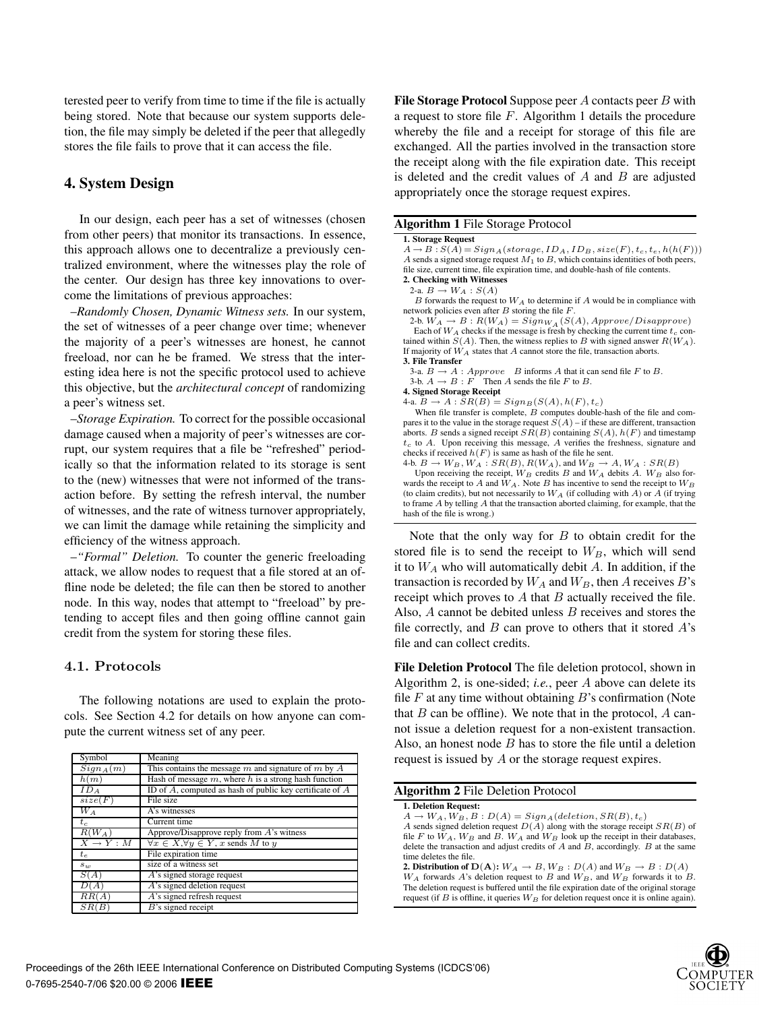terested peer to verify from time to time if the file is actually being stored. Note that because our system supports deletion, the file may simply be deleted if the peer that allegedly stores the file fails to prove that it can access the file.

# 4. System Design

In our design, each peer has a set of witnesses (chosen from other peers) that monitor its transactions. In essence, this approach allows one to decentralize a previously centralized environment, where the witnesses play the role of the center. Our design has three key innovations to overcome the limitations of previous approaches:

–Randomly Chosen, Dynamic Witness sets. In our system, the set of witnesses of a peer change over time; whenever the majority of a peer's witnesses are honest, he cannot freeload, nor can he be framed. We stress that the interesting idea here is not the specific protocol used to achieve this objective, but the architectural concept of randomizing a peer's witness set.

–Storage Expiration. To correct for the possible occasional damage caused when a majority of peer's witnesses are corrupt, our system requires that a file be "refreshed" periodically so that the information related to its storage is sent to the (new) witnesses that were not informed of the transaction before. By setting the refresh interval, the number of witnesses, and the rate of witness turnover appropriately, we can limit the damage while retaining the simplicity and efficiency of the witness approach.

–"Formal" Deletion. To counter the generic freeloading attack, we allow nodes to request that a file stored at an offline node be deleted; the file can then be stored to another node. In this way, nodes that attempt to "freeload" by pretending to accept files and then going offline cannot gain credit from the system for storing these files.

## **4.1. Protocols**

The following notations are used to explain the protocols. See Section 4.2 for details on how anyone can compute the current witness set of any peer.

| Symbol                 | Meaning                                                              |
|------------------------|----------------------------------------------------------------------|
| $\overline{Sign_A}(m)$ | This contains the message $m$ and signature of $m$ by $\ddot{A}$     |
| h(m)                   | Hash of message $m$ , where $\overline{h}$ is a strong hash function |
| ID <sub>A</sub>        | ID of $A$ , computed as hash of public key certificate of $A$        |
| size(F)                | File size                                                            |
| $\overline{W}_A$       | A's witnesses                                                        |
| $t_c$                  | Current time                                                         |
| $R(W_A)$               | Approve/Disapprove reply from $A$ 's witness                         |
| $X \rightarrow Y : M$  | $\forall x \in X, \forall y \in Y$ , x sends M to y                  |
| $t_e$                  | File expiration time                                                 |
| $s_w$                  | size of a witness set                                                |
| S(A)                   | A's signed storage request                                           |
| D(A)                   | $A$ 's signed deletion request                                       |
| RR(A)                  | $A$ 's signed refresh request                                        |
| SR(B)                  | $B$ 's signed receipt                                                |

File Storage Protocol Suppose peer A contacts peer B with a request to store file F. Algorithm 1 details the procedure whereby the file and a receipt for storage of this file are exchanged. All the parties involved in the transaction store the receipt along with the file expiration date. This receipt is deleted and the credit values of  $A$  and  $B$  are adjusted appropriately once the storage request expires.

#### Algorithm 1 File Storage Protocol

#### 1. Storage Request

 $A \rightarrow B$ :  $S(A) = Sign_A(strage, ID_A, ID_B, size(F), t_c, t_e, h(h(F)))$ A sends a signed storage request  $M_1$  to B, which contains identities of both peers, file size, current time, file expiration time, and double-hash of file contents. 2. Checking with Witnesses

```
2-a. B \rightarrow W_A : S(A)
```
B forwards the request to  $W_A$  to determine if A would be in compliance with network policies even after  $B$  storing the file  $F$ .

2-b.  $\ddot{W_A} \rightarrow B$ :  $R(W_A) = Sign_{W_A} (S(A), Approve/Disapprove)$ <br>Each of  $W_A$  checks if the message is fresh by checking the current time  $t_c$  contained within  $S(A)$ . Then, the witness replies to B with signed answer  $R(W_A)$ . If majority of  $\hat{W}_A$  states that A cannot store the file, transaction aborts.

3. File Transfer 3-a.  $B \to A$ :  $Approve$   $B$  informs  $A$  that it can send file  $F$  to  $B$ .<br>3-b.  $A \to B$ :  $F$  Then  $A$  sends the file  $F$  to  $B$ .

4. Signed Storage Receipt

4-a.  $B \rightarrow A : SR(B) = Sign_B(S(A), h(F), t_c)$ 

When file transfer is complete, *B* computes double-hash of the file and com-<br>pares it to the value in the storage request  $S(A)$  – if these are different, transaction aborts. B sends a signed receipt  $\overrightarrow{SR}(B)$  containing  $S(A)$ ,  $h(F)$  and timestamp  $t_c$  to A. Upon receiving this message, A verifies the freshness, signature and checks if received  $h(F)$  is same as hash of the file he sent.

4-b.  $B \to W_B$ ,  $W_A$ :  $SR(B)$ ,  $R(W_A)$ , and  $W_B \to A$ ,  $W_A$ :  $SR(B)$ <br>Upon receiving the receipt,  $W_B$  credits  $B$  and  $W_A$  debits  $A$ .  $W_B$  also forwards the receipt to  $A$  and  $W_A$ . Note  $B$  has incentive to send the receipt to  $W_B$ (to claim credits), but not necessarily to  $W_A$  (if colluding with A) or A (if trying to frame A by telling A that the transaction aborted claiming, for example, that the hash of the file is wrong.)

Note that the only way for  $B$  to obtain credit for the stored file is to send the receipt to  $W_B$ , which will send it to  $W_A$  who will automatically debit  $A$ . In addition, if the transaction is recorded by  $W_A$  and  $W_B$ , then A receives B's receipt which proves to  $A$  that  $B$  actually received the file. Also, A cannot be debited unless B receives and stores the file correctly, and  $B$  can prove to others that it stored  $A$ 's file and can collect credits.

File Deletion Protocol The file deletion protocol, shown in Algorithm 2, is one-sided; i.e., peer A above can delete its file  $F$  at any time without obtaining  $B$ 's confirmation (Note that  $B$  can be offline). We note that in the protocol,  $A$  cannot issue a deletion request for a non-existent transaction. Also, an honest node  $B$  has to store the file until a deletion request is issued by A or the storage request expires.

| <b>Algorithm 2 File Deletion Protocol</b> |  |  |  |  |  |
|-------------------------------------------|--|--|--|--|--|
|-------------------------------------------|--|--|--|--|--|

1. Deletion Request:

 $A \rightarrow W_A, W_B, B: D(A) = Sign_A(deletion, SR(B), t_c)$ A sends signed deletion request  $D(A)$  along with the storage receipt  $SR(B)$  of file F to  $\breve{W}_A$ ,  $W_B$  and  $\breve{B}$ .  $W_A$  and  $W_B$  look up the receipt in their databases, delete the transaction and adjust credits of  $A$  and  $B$ , accordingly.  $B$  at the same time deletes the file.

**2. Distribution of D(A):**  $W_A \rightarrow B$ ,  $W_B : D(A)$  and  $W_B \rightarrow B : D(A)$ WA forwards A's deletion request to B and  $W_B$ , and  $W_B$  forwards it to B. The deletion request is buffered until the file expiration date of the original storage request (if  $B$  is offline, it queries  $W_B$  for deletion request once it is online again).

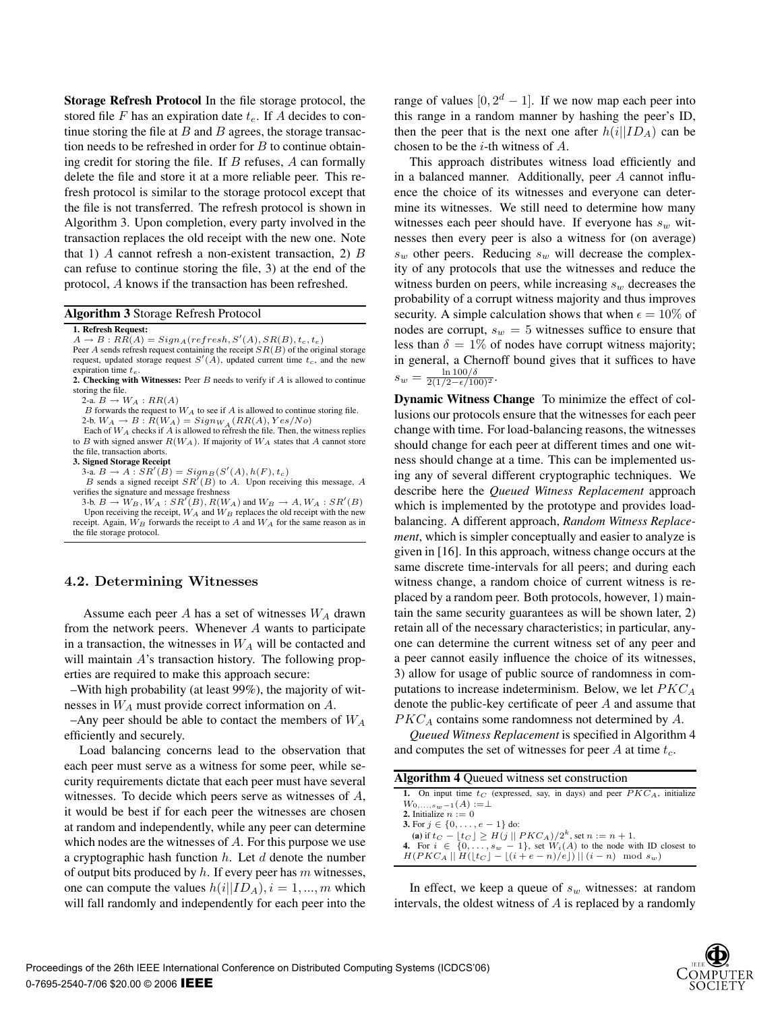Storage Refresh Protocol In the file storage protocol, the stored file F has an expiration date  $t_e$ . If A decides to continue storing the file at  $B$  and  $B$  agrees, the storage transaction needs to be refreshed in order for  $B$  to continue obtaining credit for storing the file. If  $B$  refuses,  $A$  can formally delete the file and store it at a more reliable peer. This refresh protocol is similar to the storage protocol except that the file is not transferred. The refresh protocol is shown in Algorithm 3. Upon completion, every party involved in the transaction replaces the old receipt with the new one. Note that 1)  $\Lambda$  cannot refresh a non-existent transaction, 2)  $\overline{B}$ can refuse to continue storing the file, 3) at the end of the protocol, A knows if the transaction has been refreshed.

#### Algorithm 3 Storage Refresh Protocol

#### 1. Refresh Request:

- $A \rightarrow B : RR(A) = Sign_A(refresh, S'(A), SR(B), t_c, t_e)$ Peer A sends refresh request containing the receipt  $SR(B)$  of the original storage request, updated storage request  $S'(A)$ , updated current time  $t_c$ , and the new expiration time  $t$ .
- 2. Checking with Witnesses: Peer  $B$  needs to verify if  $A$  is allowed to continue storing the file.

2-a.  $B \to W_A : RR(A)$ 

 $B$  forwards the request to  $W_A$  to see if  $A$  is allowed to continue storing file.

2-b.  $W_A \rightarrow B$ :  $R(W_A) = Sign_{W_A} (RR(A), Yes/No)$ <br>Each of  $W_A$  checks if A is allowed to refresh the file. Then, the witness replies

to B with signed answer  $R(W_A)$ . If majority of  $W_A$  states that A cannot store the file, transaction aborts.

3. Signed Storage Receipt

3-a.  $B \to A : SR'(B) = Sign_B(S'(A), h(F), t_c)$ B sends a signed receipt  $SR'(B)$  to A. Upon receiving this message, A

verifies the signature and message freshness 3-b.  $B \to W_B$ ,  $W_A : SR'(B)$ ,  $R(W_A)$  and  $W_B \to A$ ,  $W_A : SR'(B)$ Upon receiving the receipt,  $\hat{W}_A$  and  $\hat{W}_B$  replaces the old receipt with the new receipt. Again,  $\overline{W}_B$  forwards the receipt to A and  $\overline{W}_A$  for the same reason as in the file storage protocol.

## **4.2. Determining Witnesses**

Assume each peer  $A$  has a set of witnesses  $W_A$  drawn from the network peers. Whenever A wants to participate in a transaction, the witnesses in  $W_A$  will be contacted and will maintain A's transaction history. The following properties are required to make this approach secure:

–With high probability (at least 99%), the majority of witnesses in  $W_A$  must provide correct information on  $A$ .

–Any peer should be able to contact the members of  $W_A$ efficiently and securely.

Load balancing concerns lead to the observation that each peer must serve as a witness for some peer, while security requirements dictate that each peer must have several witnesses. To decide which peers serve as witnesses of A, it would be best if for each peer the witnesses are chosen at random and independently, while any peer can determine which nodes are the witnesses of A. For this purpose we use a cryptographic hash function  $h$ . Let  $d$  denote the number of output bits produced by  $h$ . If every peer has  $m$  witnesses, one can compute the values  $h(i||ID_A), i = 1, ..., m$  which will fall randomly and independently for each peer into the range of values  $[0, 2^d - 1]$ . If we now map each peer into this range in a random manner by hashing the peer's ID, then the peer that is the next one after  $h(i||ID_A)$  can be chosen to be the  $i$ -th witness of  $A$ .

This approach distributes witness load efficiently and in a balanced manner. Additionally, peer A cannot influence the choice of its witnesses and everyone can determine its witnesses. We still need to determine how many witnesses each peer should have. If everyone has  $s_w$  witnesses then every peer is also a witness for (on average)  $s_w$  other peers. Reducing  $s_w$  will decrease the complexity of any protocols that use the witnesses and reduce the witness burden on peers, while increasing  $s_w$  decreases the probability of a corrupt witness majority and thus improves security. A simple calculation shows that when  $\epsilon = 10\%$  of nodes are corrupt,  $s_w = 5$  witnesses suffice to ensure that less than  $\delta = 1\%$  of nodes have corrupt witness majority; in general, a Chernoff bound gives that it suffices to have  $s_w = \frac{\ln 100/\delta}{2(1/2 - \epsilon/100)^2}.$ 

Dynamic Witness Change To minimize the effect of collusions our protocols ensure that the witnesses for each peer change with time. For load-balancing reasons, the witnesses should change for each peer at different times and one witness should change at a time. This can be implemented using any of several different cryptographic techniques. We describe here the Queued Witness Replacement approach which is implemented by the prototype and provides loadbalancing. A different approach, Random Witness Replacement, which is simpler conceptually and easier to analyze is given in [16]. In this approach, witness change occurs at the same discrete time-intervals for all peers; and during each witness change, a random choice of current witness is replaced by a random peer. Both protocols, however, 1) maintain the same security guarantees as will be shown later, 2) retain all of the necessary characteristics; in particular, anyone can determine the current witness set of any peer and a peer cannot easily influence the choice of its witnesses, 3) allow for usage of public source of randomness in computations to increase indeterminism. Below, we let  $PKC_A$ denote the public-key certificate of peer A and assume that  $PKC_A$  contains some randomness not determined by A.

Queued Witness Replacement is specified in Algorithm 4 and computes the set of witnesses for peer  $A$  at time  $t_c$ .

| <b>Algorithm 4 Oueued witness set construction</b>                                  |  |  |  |  |  |
|-------------------------------------------------------------------------------------|--|--|--|--|--|
| 1. On input time $t_C$ (expressed, say, in days) and peer $PKC_A$ , initialize      |  |  |  |  |  |
| $W_0, \ldots, s_{m-1}(A) := \perp$                                                  |  |  |  |  |  |
| 2. Initialize $n := 0$                                                              |  |  |  |  |  |
| 3. For $j \in \{0, \ldots, e-1\}$ do:                                               |  |  |  |  |  |
| (a) if $t_C -  t_C  \ge H(j    PKC_A)/2^k$ , set $n := n + 1$ .                     |  |  |  |  |  |
| 4. For $i \in \{0, \ldots, s_w - 1\}$ , set $W_i(A)$ to the node with ID closest to |  |  |  |  |  |
| $H(PKC_A    H( t_C  -  (i + e - n)/e )    (i - n) \mod s_w)$                        |  |  |  |  |  |

In effect, we keep a queue of  $s_w$  witnesses: at random intervals, the oldest witness of  $A$  is replaced by a randomly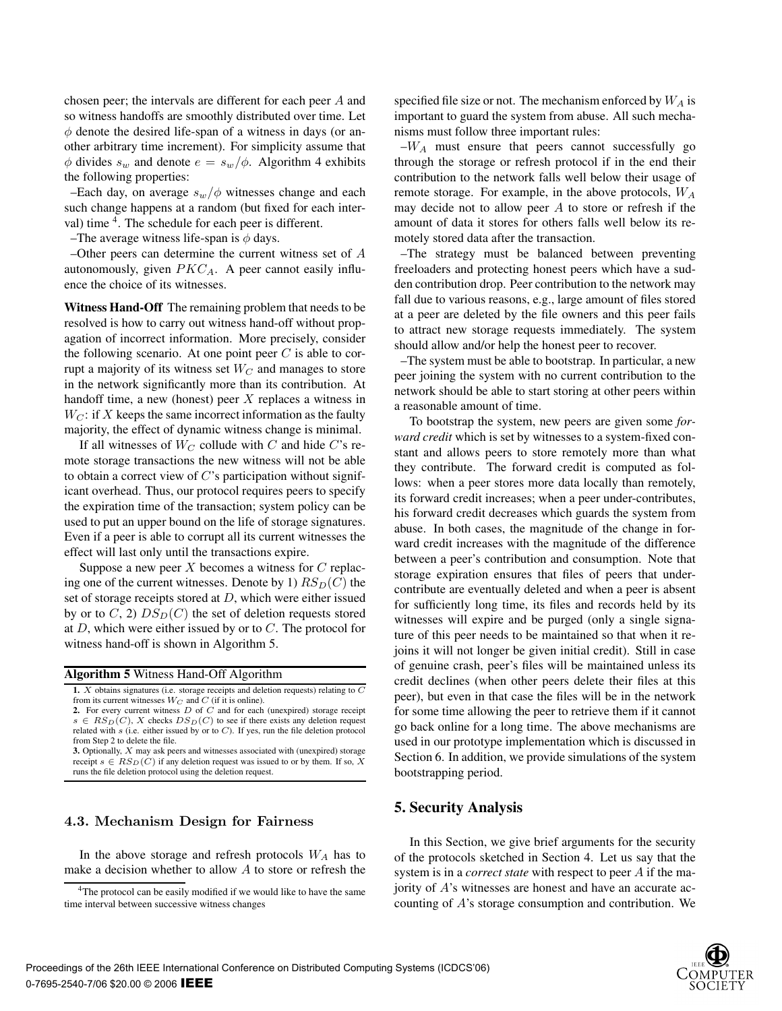chosen peer; the intervals are different for each peer A and so witness handoffs are smoothly distributed over time. Let  $\phi$  denote the desired life-span of a witness in days (or another arbitrary time increment). For simplicity assume that  $\phi$  divides  $s_w$  and denote  $e = s_w / \phi$ . Algorithm 4 exhibits the following properties:

–Each day, on average  $s_w/\phi$  witnesses change and each such change happens at a random (but fixed for each interval) time <sup>4</sup>. The schedule for each peer is different.

–The average witness life-span is  $\phi$  days.

–Other peers can determine the current witness set of A autonomously, given  $PKC_A$ . A peer cannot easily influence the choice of its witnesses.

Witness Hand-Off The remaining problem that needs to be resolved is how to carry out witness hand-off without propagation of incorrect information. More precisely, consider the following scenario. At one point peer  $C$  is able to corrupt a majority of its witness set  $W_C$  and manages to store in the network significantly more than its contribution. At handoff time, a new (honest) peer  $X$  replaces a witness in  $W_C$ : if X keeps the same incorrect information as the faulty majority, the effect of dynamic witness change is minimal.

If all witnesses of  $W_C$  collude with C and hide C's remote storage transactions the new witness will not be able to obtain a correct view of  $C$ 's participation without significant overhead. Thus, our protocol requires peers to specify the expiration time of the transaction; system policy can be used to put an upper bound on the life of storage signatures. Even if a peer is able to corrupt all its current witnesses the effect will last only until the transactions expire.

Suppose a new peer  $X$  becomes a witness for  $C$  replacing one of the current witnesses. Denote by 1)  $RS_D(C)$  the set of storage receipts stored at  $D$ , which were either issued by or to C, 2)  $DS_D(C)$  the set of deletion requests stored at  $D$ , which were either issued by or to  $C$ . The protocol for witness hand-off is shown in Algorithm 5.

### Algorithm 5 Witness Hand-Off Algorithm

1.  $X$  obtains signatures (i.e. storage receipts and deletion requests) relating to  $C$ from its current witnesses  $W_C$  and  $C$  (if it is online).

2. For every current witness  $D$  of  $C$  and for each (unexpired) storage receipt  $s \in RS_D(C)$ , X checks  $DS_D(C)$  to see if there exists any deletion request related with  $s$  (i.e. either issued by or to  $C$ ). If yes, run the file deletion protocol from Step 2 to delete the file.

3. Optionally, X may ask peers and witnesses associated with (unexpired) storage receipt  $s \in RS_D(C)$  if any deletion request was issued to or by them. If so, X runs the file deletion protocol using the deletion request.

# **4.3. Mechanism Design for Fairness**

In the above storage and refresh protocols  $W_A$  has to make a decision whether to allow A to store or refresh the specified file size or not. The mechanism enforced by  $W_A$  is important to guard the system from abuse. All such mechanisms must follow three important rules:

 $-W_A$  must ensure that peers cannot successfully go through the storage or refresh protocol if in the end their contribution to the network falls well below their usage of remote storage. For example, in the above protocols,  $W_A$ may decide not to allow peer A to store or refresh if the amount of data it stores for others falls well below its remotely stored data after the transaction.

–The strategy must be balanced between preventing freeloaders and protecting honest peers which have a sudden contribution drop. Peer contribution to the network may fall due to various reasons, e.g., large amount of files stored at a peer are deleted by the file owners and this peer fails to attract new storage requests immediately. The system should allow and/or help the honest peer to recover.

–The system must be able to bootstrap. In particular, a new peer joining the system with no current contribution to the network should be able to start storing at other peers within a reasonable amount of time.

To bootstrap the system, new peers are given some forward credit which is set by witnesses to a system-fixed constant and allows peers to store remotely more than what they contribute. The forward credit is computed as follows: when a peer stores more data locally than remotely, its forward credit increases; when a peer under-contributes, his forward credit decreases which guards the system from abuse. In both cases, the magnitude of the change in forward credit increases with the magnitude of the difference between a peer's contribution and consumption. Note that storage expiration ensures that files of peers that undercontribute are eventually deleted and when a peer is absent for sufficiently long time, its files and records held by its witnesses will expire and be purged (only a single signature of this peer needs to be maintained so that when it rejoins it will not longer be given initial credit). Still in case of genuine crash, peer's files will be maintained unless its credit declines (when other peers delete their files at this peer), but even in that case the files will be in the network for some time allowing the peer to retrieve them if it cannot go back online for a long time. The above mechanisms are used in our prototype implementation which is discussed in Section 6. In addition, we provide simulations of the system bootstrapping period.

# 5. Security Analysis

In this Section, we give brief arguments for the security of the protocols sketched in Section 4. Let us say that the system is in a *correct state* with respect to peer A if the majority of A's witnesses are honest and have an accurate accounting of A's storage consumption and contribution. We

<sup>4</sup>The protocol can be easily modified if we would like to have the same time interval between successive witness changes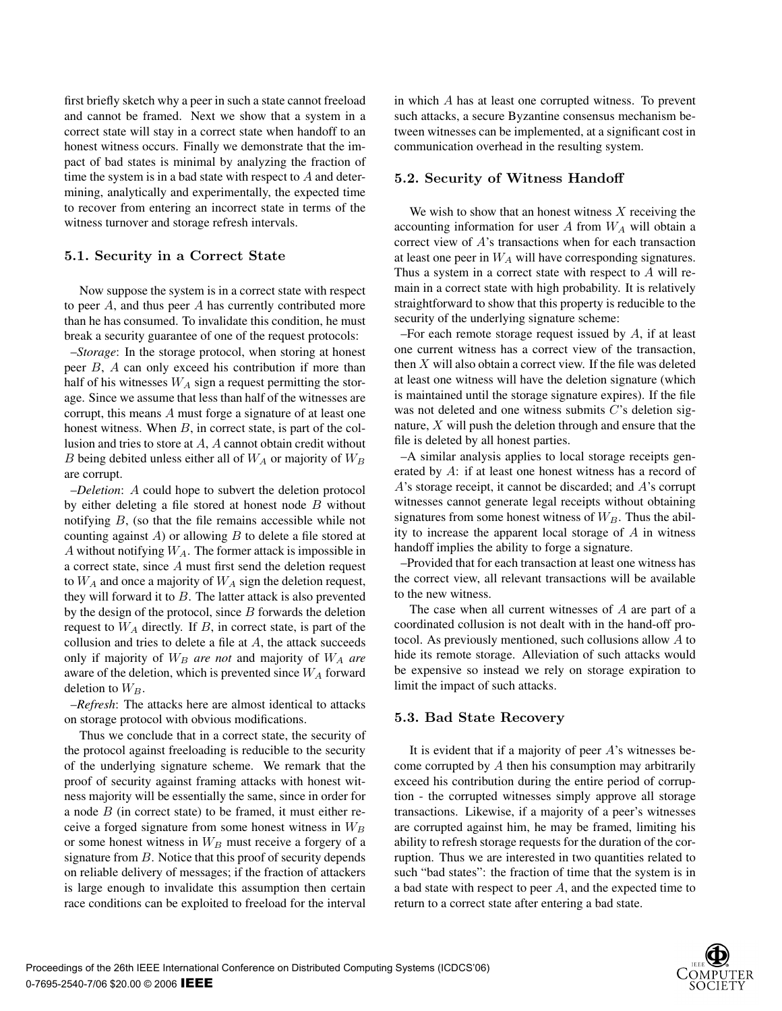first briefly sketch why a peer in such a state cannot freeload and cannot be framed. Next we show that a system in a correct state will stay in a correct state when handoff to an honest witness occurs. Finally we demonstrate that the impact of bad states is minimal by analyzing the fraction of time the system is in a bad state with respect to A and determining, analytically and experimentally, the expected time to recover from entering an incorrect state in terms of the witness turnover and storage refresh intervals.

## **5.1. Security in a Correct State**

Now suppose the system is in a correct state with respect to peer A, and thus peer A has currently contributed more than he has consumed. To invalidate this condition, he must break a security guarantee of one of the request protocols:

–Storage: In the storage protocol, when storing at honest peer B, A can only exceed his contribution if more than half of his witnesses  $W_A$  sign a request permitting the storage. Since we assume that less than half of the witnesses are corrupt, this means A must forge a signature of at least one honest witness. When  $B$ , in correct state, is part of the collusion and tries to store at A, A cannot obtain credit without B being debited unless either all of  $W_A$  or majority of  $W_B$ are corrupt.

–Deletion: A could hope to subvert the deletion protocol by either deleting a file stored at honest node  $B$  without notifying B, (so that the file remains accessible while not counting against  $A$ ) or allowing  $B$  to delete a file stored at A without notifying  $W_A$ . The former attack is impossible in a correct state, since A must first send the deletion request to  $W_A$  and once a majority of  $W_A$  sign the deletion request, they will forward it to  $B$ . The latter attack is also prevented by the design of the protocol, since  $B$  forwards the deletion request to  $W_A$  directly. If  $B$ , in correct state, is part of the collusion and tries to delete a file at  $A$ , the attack succeeds only if majority of  $W_B$  are not and majority of  $W_A$  are aware of the deletion, which is prevented since  $W_A$  forward deletion to  $W_B$ .

–Refresh: The attacks here are almost identical to attacks on storage protocol with obvious modifications.

Thus we conclude that in a correct state, the security of the protocol against freeloading is reducible to the security of the underlying signature scheme. We remark that the proof of security against framing attacks with honest witness majority will be essentially the same, since in order for a node  $B$  (in correct state) to be framed, it must either receive a forged signature from some honest witness in  $W_B$ or some honest witness in  $W_B$  must receive a forgery of a signature from B. Notice that this proof of security depends on reliable delivery of messages; if the fraction of attackers is large enough to invalidate this assumption then certain race conditions can be exploited to freeload for the interval

in which A has at least one corrupted witness. To prevent such attacks, a secure Byzantine consensus mechanism between witnesses can be implemented, at a significant cost in communication overhead in the resulting system.

### **5.2. Security of Witness Handoff**

We wish to show that an honest witness  $X$  receiving the accounting information for user  $A$  from  $W_A$  will obtain a correct view of A's transactions when for each transaction at least one peer in  $W_A$  will have corresponding signatures. Thus a system in a correct state with respect to A will remain in a correct state with high probability. It is relatively straightforward to show that this property is reducible to the security of the underlying signature scheme:

–For each remote storage request issued by  $A$ , if at least one current witness has a correct view of the transaction, then  $X$  will also obtain a correct view. If the file was deleted at least one witness will have the deletion signature (which is maintained until the storage signature expires). If the file was not deleted and one witness submits  $C$ 's deletion signature, X will push the deletion through and ensure that the file is deleted by all honest parties.

–A similar analysis applies to local storage receipts generated by A: if at least one honest witness has a record of A's storage receipt, it cannot be discarded; and A's corrupt witnesses cannot generate legal receipts without obtaining signatures from some honest witness of  $W_B$ . Thus the ability to increase the apparent local storage of A in witness handoff implies the ability to forge a signature.

–Provided that for each transaction at least one witness has the correct view, all relevant transactions will be available to the new witness.

The case when all current witnesses of A are part of a coordinated collusion is not dealt with in the hand-off protocol. As previously mentioned, such collusions allow A to hide its remote storage. Alleviation of such attacks would be expensive so instead we rely on storage expiration to limit the impact of such attacks.

### **5.3. Bad State Recovery**

It is evident that if a majority of peer  $A$ 's witnesses become corrupted by A then his consumption may arbitrarily exceed his contribution during the entire period of corruption - the corrupted witnesses simply approve all storage transactions. Likewise, if a majority of a peer's witnesses are corrupted against him, he may be framed, limiting his ability to refresh storage requests for the duration of the corruption. Thus we are interested in two quantities related to such "bad states": the fraction of time that the system is in a bad state with respect to peer A, and the expected time to return to a correct state after entering a bad state.

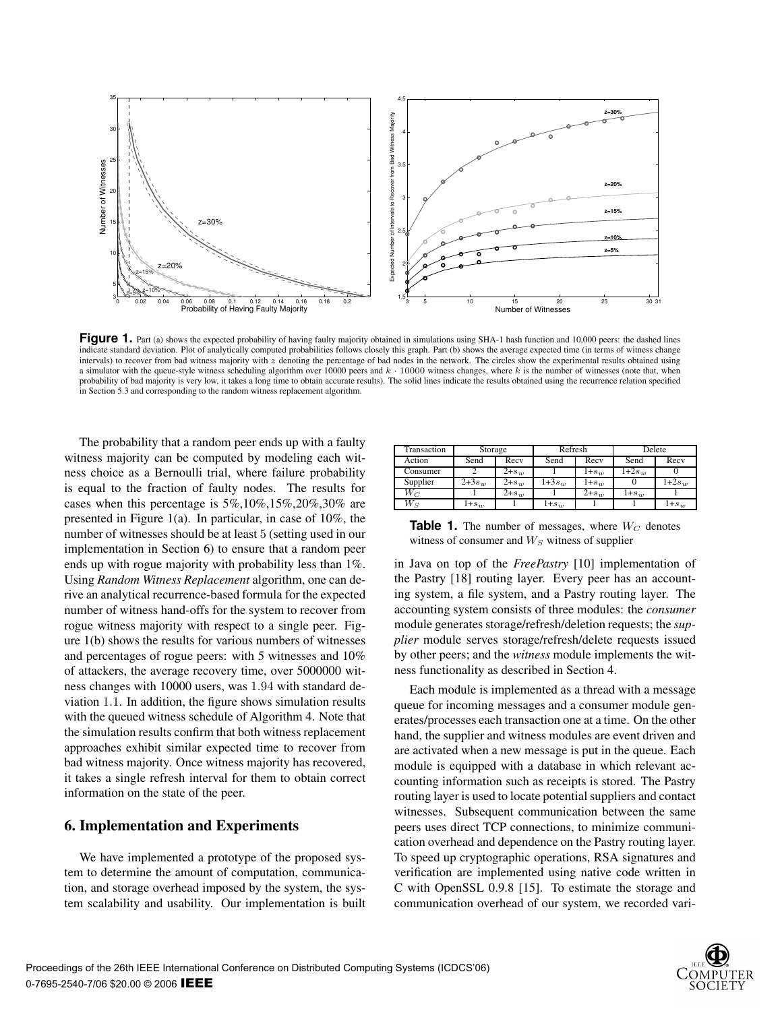

**FIGUIC 1.** Part (a) shows the expected probability of having faulty majority obtained in simulations using SHA-1 hash function and 10,000 peers: the dashed lines indicate standard deviation. Plot of analytically computed intervals) to recover from bad witness majority with z denoting the percentage of bad nodes in the network. The circles show the experimental results obtained using a simulator with the queue-style witness scheduling algorithm over  $10000$  peers and  $k \cdot 10000$  witness changes, where k is the number of witnesses (note that, when probability of bad majority is very low, it takes a long time to obtain accurate results). The solid lines indicate the results obtained using the recurrence relation specified in Section 5.3 and corresponding to the random witness replacement algorithm.

The probability that a random peer ends up with a faulty witness majority can be computed by modeling each witness choice as a Bernoulli trial, where failure probability is equal to the fraction of faulty nodes. The results for cases when this percentage is 5%,10%,15%,20%,30% are presented in Figure 1(a). In particular, in case of 10%, the number of witnesses should be at least 5 (setting used in our implementation in Section 6) to ensure that a random peer ends up with rogue majority with probability less than 1%. Using Random Witness Replacement algorithm, one can derive an analytical recurrence-based formula for the expected number of witness hand-offs for the system to recover from rogue witness majority with respect to a single peer. Figure 1(b) shows the results for various numbers of witnesses and percentages of rogue peers: with 5 witnesses and 10% of attackers, the average recovery time, over 5000000 witness changes with 10000 users, was 1.94 with standard deviation 1.1. In addition, the figure shows simulation results with the queued witness schedule of Algorithm 4. Note that the simulation results confirm that both witness replacement approaches exhibit similar expected time to recover from bad witness majority. Once witness majority has recovered, it takes a single refresh interval for them to obtain correct information on the state of the peer.

## 6. Implementation and Experiments

We have implemented a prototype of the proposed system to determine the amount of computation, communication, and storage overhead imposed by the system, the system scalability and usability. Our implementation is built

| Transaction | Storage   |             | Refresh    |             | Delete    |            |
|-------------|-----------|-------------|------------|-------------|-----------|------------|
| Action      | Send      | Recy        | Send       | Recy        | Send      | Recy       |
| Consumer    |           | $2+s_w$     |            | $1 + s_w$   | $1+2s_w$  |            |
| Supplier    | $2+3s_w$  | $2+s_w$     | $1 + 3s_m$ | $1 + s_w$   |           | $1+2s_{w}$ |
| $W_C$       |           | $2+s_{\nu}$ |            | $2+s_{\nu}$ | $1 + s_w$ |            |
| $W_S$       | $1 + s_w$ |             | $1 + s_w$  |             |           | $1 + s_w$  |

**Table 1.** The number of messages, where  $W_C$  denotes witness of consumer and  $W_S$  witness of supplier

in Java on top of the FreePastry [10] implementation of the Pastry [18] routing layer. Every peer has an accounting system, a file system, and a Pastry routing layer. The accounting system consists of three modules: the consumer module generates storage/refresh/deletion requests; the supplier module serves storage/refresh/delete requests issued by other peers; and the witness module implements the witness functionality as described in Section 4.

Each module is implemented as a thread with a message queue for incoming messages and a consumer module generates/processes each transaction one at a time. On the other hand, the supplier and witness modules are event driven and are activated when a new message is put in the queue. Each module is equipped with a database in which relevant accounting information such as receipts is stored. The Pastry routing layer is used to locate potential suppliers and contact witnesses. Subsequent communication between the same peers uses direct TCP connections, to minimize communication overhead and dependence on the Pastry routing layer. To speed up cryptographic operations, RSA signatures and verification are implemented using native code written in C with OpenSSL 0.9.8 [15]. To estimate the storage and communication overhead of our system, we recorded vari-

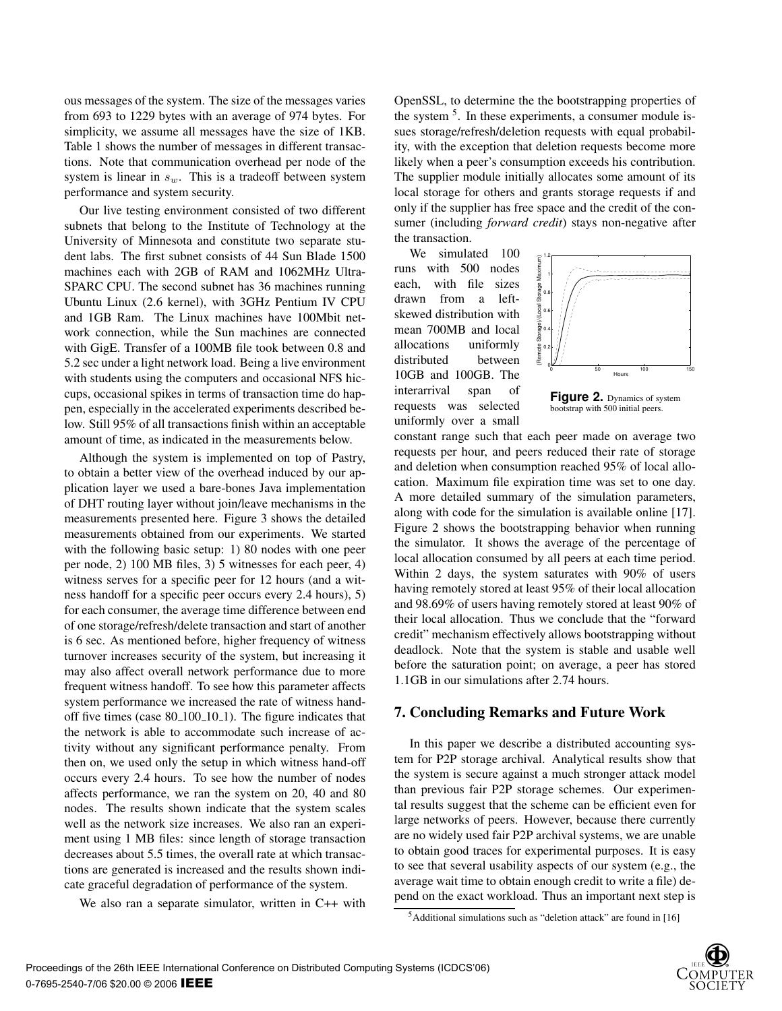ous messages of the system. The size of the messages varies from 693 to 1229 bytes with an average of 974 bytes. For simplicity, we assume all messages have the size of 1KB. Table 1 shows the number of messages in different transactions. Note that communication overhead per node of the system is linear in  $s_w$ . This is a tradeoff between system performance and system security.

Our live testing environment consisted of two different subnets that belong to the Institute of Technology at the University of Minnesota and constitute two separate student labs. The first subnet consists of 44 Sun Blade 1500 machines each with 2GB of RAM and 1062MHz Ultra-SPARC CPU. The second subnet has 36 machines running Ubuntu Linux (2.6 kernel), with 3GHz Pentium IV CPU and 1GB Ram. The Linux machines have 100Mbit network connection, while the Sun machines are connected with GigE. Transfer of a 100MB file took between 0.8 and 5.2 sec under a light network load. Being a live environment with students using the computers and occasional NFS hiccups, occasional spikes in terms of transaction time do happen, especially in the accelerated experiments described below. Still 95% of all transactions finish within an acceptable amount of time, as indicated in the measurements below.

Although the system is implemented on top of Pastry, to obtain a better view of the overhead induced by our application layer we used a bare-bones Java implementation of DHT routing layer without join/leave mechanisms in the measurements presented here. Figure 3 shows the detailed measurements obtained from our experiments. We started with the following basic setup: 1) 80 nodes with one peer per node, 2) 100 MB files, 3) 5 witnesses for each peer, 4) witness serves for a specific peer for 12 hours (and a witness handoff for a specific peer occurs every 2.4 hours), 5) for each consumer, the average time difference between end of one storage/refresh/delete transaction and start of another is 6 sec. As mentioned before, higher frequency of witness turnover increases security of the system, but increasing it may also affect overall network performance due to more frequent witness handoff. To see how this parameter affects system performance we increased the rate of witness handoff five times (case  $80$ -100-10-1). The figure indicates that the network is able to accommodate such increase of activity without any significant performance penalty. From then on, we used only the setup in which witness hand-off occurs every 2.4 hours. To see how the number of nodes affects performance, we ran the system on 20, 40 and 80 nodes. The results shown indicate that the system scales well as the network size increases. We also ran an experiment using 1 MB files: since length of storage transaction decreases about 5.5 times, the overall rate at which transactions are generated is increased and the results shown indicate graceful degradation of performance of the system.

We also ran a separate simulator, written in C++ with

OpenSSL, to determine the the bootstrapping properties of the system  $5$ . In these experiments, a consumer module issues storage/refresh/deletion requests with equal probability, with the exception that deletion requests become more likely when a peer's consumption exceeds his contribution. The supplier module initially allocates some amount of its local storage for others and grants storage requests if and only if the supplier has free space and the credit of the consumer (including *forward credit*) stays non-negative after the transaction.

We simulated 100 runs with 500 nodes each, with file sizes drawn from a leftskewed distribution with mean 700MB and local allocations uniformly distributed between 10GB and 100GB. The interarrival span of requests was selected uniformly over a small



**Figure 2.** Dynamics of system bootstrap with 500 initial peers.

constant range such that each peer made on average two requests per hour, and peers reduced their rate of storage and deletion when consumption reached 95% of local allocation. Maximum file expiration time was set to one day. A more detailed summary of the simulation parameters, along with code for the simulation is available online [17]. Figure 2 shows the bootstrapping behavior when running the simulator. It shows the average of the percentage of local allocation consumed by all peers at each time period. Within 2 days, the system saturates with 90% of users having remotely stored at least 95% of their local allocation and 98.69% of users having remotely stored at least 90% of their local allocation. Thus we conclude that the "forward credit" mechanism effectively allows bootstrapping without deadlock. Note that the system is stable and usable well before the saturation point; on average, a peer has stored 1.1GB in our simulations after 2.74 hours.

# 7. Concluding Remarks and Future Work

In this paper we describe a distributed accounting system for P2P storage archival. Analytical results show that the system is secure against a much stronger attack model than previous fair P2P storage schemes. Our experimental results suggest that the scheme can be efficient even for large networks of peers. However, because there currently are no widely used fair P2P archival systems, we are unable to obtain good traces for experimental purposes. It is easy to see that several usability aspects of our system (e.g., the average wait time to obtain enough credit to write a file) depend on the exact workload. Thus an important next step is

 $<sup>5</sup>$ Additional simulations such as "deletion attack" are found in [16]</sup>